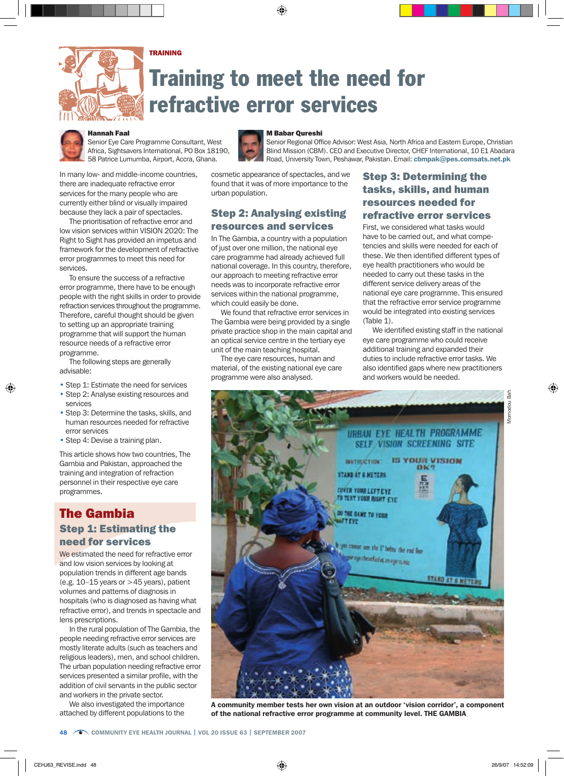# TRAINING

# Training to meet the need for refractive error services



### Hannah Faal

Senior Eye Care Programme Consultant, West Africa, Sightsavers International, PO Box 18190, 58 Patrice Lumumba, Airport, Accra, Ghana.



The prioritisation of refractive error and low vision services within VISION 2020: The Right to Sight has provided an impetus and framework for the development of refractive error programmes to meet this need for services.

To ensure the success of a refractive error programme, there have to be enough people with the right skills in order to provide refraction services throughout the programme. Therefore, careful thought should be given to setting up an appropriate training programme that will support the human resource needs of a refractive error programme.

The following steps are generally advisable:

- Step 1: Estimate the need for services
- Step 2: Analyse existing resources and services
- Step 3: Determine the tasks, skills, and human resources needed for refractive error services
- Step 4: Devise a training plan.

This article shows how two countries, The Gambia and Pakistan, approached the training and integration of refraction personnel in their respective eye care programmes.

# The Gambia Step 1: Estimating the need for services

We estimated the need for refractive error and low vision services by looking at population trends in different age bands (e.g.  $10-15$  years or  $>45$  years), patient volumes and patterns of diagnosis in hospitals (who is diagnosed as having what refractive error), and trends in spectacle and lens prescriptions.

In the rural population of The Gambia, the people needing refractive error services are mostly literate adults (such as teachers and religious leaders), men, and school children. The urban population needing refractive error services presented a similar profile, with the addition of civil servants in the public sector and workers in the private sector.

We also investigated the importance attached by different populations to the



#### M Babar Qureshi

Senior Regional Office Advisor: West Asia, North Africa and Eastern Europe, Christian Blind Mission (CBM). CEO and Executive Director, CHEF International, 10 E1 Abadara Road, University Town, Peshawar, Pakistan. Email: cbmpak@pes.comsats.net.pk

cosmetic appearance of spectacles, and we found that it was of more importance to the urban population.

## Step 2: Analysing existing resources and services

In The Gambia, a country with a population of just over one million, the national eye care programme had already achieved full national coverage. In this country, therefore, our approach to meeting refractive error needs was to incorporate refractive error services within the national programme, which could easily be done.

We found that refractive error services in The Gambia were being provided by a single private practice shop in the main capital and an optical service centre in the tertiary eye unit of the main teaching hospital.

The eye care resources, human and material, of the existing national eye care programme were also analysed.

# Step 3: Determining the tasks, skills, and human resources needed for refractive error services

First, we considered what tasks would have to be carried out, and what competencies and skills were needed for each of these. We then identified different types of eye health practitioners who would be needed to carry out these tasks in the different service delivery areas of the national eye care programme. This ensured that the refractive error service programme would be integrated into existing services (Table 1).

We identified existing staff in the national eye care programme who could receive additional training and expanded their duties to include refractive error tasks. We also identified gaps where new practitioners and workers would be needed.



A community member tests her own vision at an outdoor 'vision corridor', a component of the national refractive error programme at community level. THE GAMBIA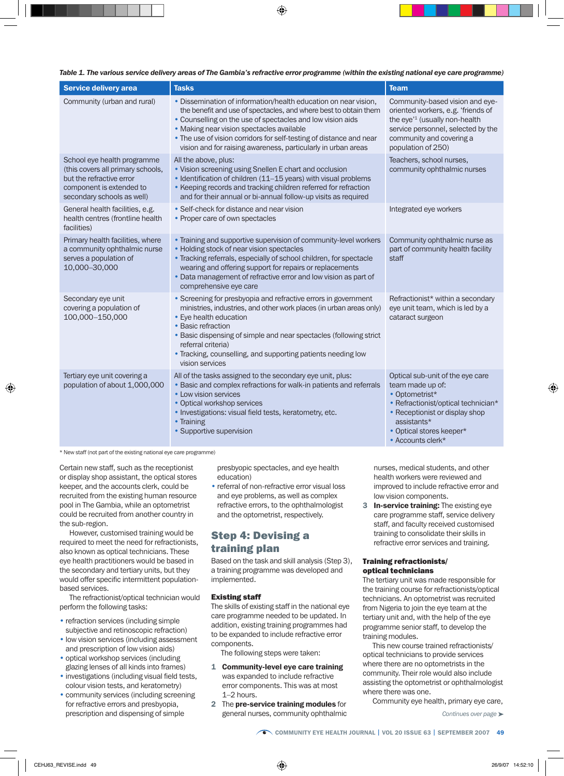| Table 1. The various service delivery areas of The Gambia's refractive error programme (within the existing national eye care programme) |  |  |  |  |
|------------------------------------------------------------------------------------------------------------------------------------------|--|--|--|--|
|------------------------------------------------------------------------------------------------------------------------------------------|--|--|--|--|

| <b>Service delivery area</b>                                                                                                                           | <b>Tasks</b>                                                                                                                                                                                                                                                                                                                                                                           | <b>Team</b>                                                                                                                                                                                                     |
|--------------------------------------------------------------------------------------------------------------------------------------------------------|----------------------------------------------------------------------------------------------------------------------------------------------------------------------------------------------------------------------------------------------------------------------------------------------------------------------------------------------------------------------------------------|-----------------------------------------------------------------------------------------------------------------------------------------------------------------------------------------------------------------|
| Community (urban and rural)                                                                                                                            | • Dissemination of information/health education on near vision,<br>the benefit and use of spectacles, and where best to obtain them<br>• Counselling on the use of spectacles and low vision aids<br>• Making near vision spectacles available<br>• The use of vision corridors for self-testing of distance and near<br>vision and for raising awareness, particularly in urban areas | Community-based vision and eye-<br>oriented workers, e.g. 'friends of<br>the eye' <sup>1</sup> (usually non-health<br>service personnel, selected by the<br>community and covering a<br>population of 250)      |
| School eye health programme<br>(this covers all primary schools,<br>but the refractive error<br>component is extended to<br>secondary schools as well) | All the above, plus:<br>• Vision screening using Snellen E chart and occlusion<br>• Identification of children (11-15 years) with visual problems<br>• Keeping records and tracking children referred for refraction<br>and for their annual or bi-annual follow-up visits as required                                                                                                 | Teachers, school nurses,<br>community ophthalmic nurses                                                                                                                                                         |
| General health facilities, e.g.<br>health centres (frontline health<br>facilities)                                                                     | • Self-check for distance and near vision<br>• Proper care of own spectacles                                                                                                                                                                                                                                                                                                           | Integrated eye workers                                                                                                                                                                                          |
| Primary health facilities, where<br>a community ophthalmic nurse<br>serves a population of<br>10,000-30,000                                            | • Training and supportive supervision of community-level workers<br>• Holding stock of near vision spectacles<br>• Tracking referrals, especially of school children, for spectacle<br>wearing and offering support for repairs or replacements<br>• Data management of refractive error and low vision as part of<br>comprehensive eye care                                           | Community ophthalmic nurse as<br>part of community health facility<br>staff                                                                                                                                     |
| Secondary eye unit<br>covering a population of<br>100,000-150,000                                                                                      | • Screening for presbyopia and refractive errors in government<br>ministries, industries, and other work places (in urban areas only)<br>• Eye health education<br>• Basic refraction<br>• Basic dispensing of simple and near spectacles (following strict<br>referral criteria)<br>. Tracking, counselling, and supporting patients needing low<br>vision services                   | Refractionist* within a secondary<br>eye unit team, which is led by a<br>cataract surgeon                                                                                                                       |
| Tertiary eye unit covering a<br>population of about 1,000,000                                                                                          | All of the tasks assigned to the secondary eye unit, plus:<br>• Basic and complex refractions for walk-in patients and referrals<br>• Low vision services<br>• Optical workshop services<br>· Investigations: visual field tests, keratometry, etc.<br>• Training<br>• Supportive supervision                                                                                          | Optical sub-unit of the eye care<br>team made up of:<br>• Optometrist*<br>• Refractionist/optical technician*<br>• Receptionist or display shop<br>assistants*<br>• Optical stores keeper*<br>• Accounts clerk* |

\* New staff (not part of the existing national eye care programme)

Certain new staff, such as the receptionist or display shop assistant, the optical stores keeper, and the accounts clerk, could be recruited from the existing human resource pool in The Gambia, while an optometrist could be recruited from another country in the sub-region.

However, customised training would be required to meet the need for refractionists, also known as optical technicians. These eye health practitioners would be based in the secondary and tertiary units, but they would offer specific intermittent populationbased services.

The refractionist/optical technician would perform the following tasks:

- refraction services (including simple subjective and retinoscopic refraction)
- low vision services (including assessment and prescription of low vision aids)
- optical workshop services (including glazing lenses of all kinds into frames)
- investigations (including visual field tests, colour vision tests, and keratometry)
- community services (including screening for refractive errors and presbyopia, prescription and dispensing of simple

presbyopic spectacles, and eye health education)

• referral of non-refractive error visual loss and eye problems, as well as complex refractive errors, to the ophthalmologist and the optometrist, respectively.

# Step 4: Devising a training plan

Based on the task and skill analysis (Step 3), a training programme was developed and implemented.

#### Existing staff

The skills of existing staff in the national eye care programme needed to be updated. In addition, existing training programmes had to be expanded to include refractive error components.

The following steps were taken:

- 1 Community-level eye care training was expanded to include refractive error components. This was at most 1–2 hours.
- 2 The pre-service training modules for general nurses, community ophthalmic

nurses, medical students, and other health workers were reviewed and improved to include refractive error and low vision components.

3 In-service training: The existing eye care programme staff, service delivery staff, and faculty received customised training to consolidate their skills in refractive error services and training.

#### Training refractionists/ optical technicians

The tertiary unit was made responsible for the training course for refractionists/optical technicians. An optometrist was recruited from Nigeria to join the eye team at the tertiary unit and, with the help of the eye programme senior staff, to develop the training modules.

This new course trained refractionists/ optical technicians to provide services where there are no optometrists in the community. Their role would also include assisting the optometrist or ophthalmologist where there was one.

Community eye health, primary eye care,

*Continues over page* ➤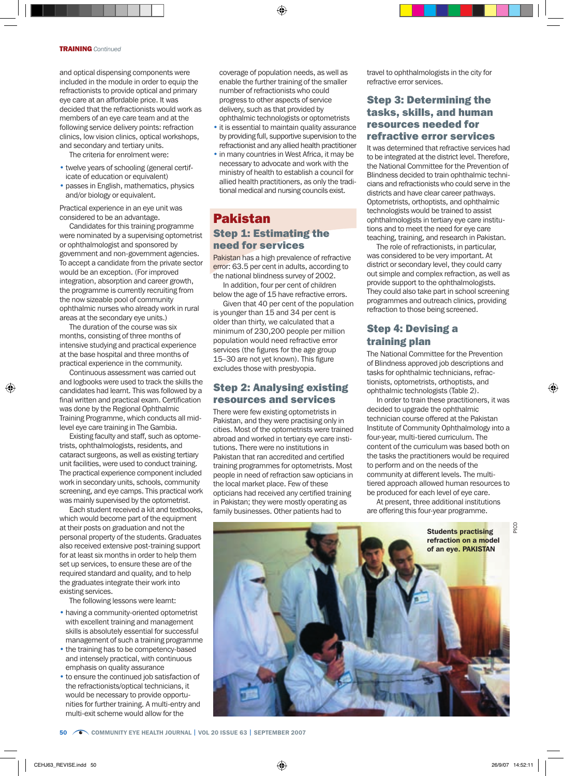and optical dispensing components were included in the module in order to equip the refractionists to provide optical and primary eye care at an affordable price. It was decided that the refractionists would work as members of an eye care team and at the following service delivery points: refraction clinics, low vision clinics, optical workshops, and secondary and tertiary units.

The criteria for enrolment were:

- twelve years of schooling (general certificate of education or equivalent)
- passes in English, mathematics, physics and/or biology or equivalent.

Practical experience in an eye unit was considered to be an advantage.

Candidates for this training programme were nominated by a supervising optometrist or ophthalmologist and sponsored by government and non-government agencies. To accept a candidate from the private sector would be an exception. (For improved integration, absorption and career growth, the programme is currently recruiting from the now sizeable pool of community ophthalmic nurses who already work in rural areas at the secondary eye units.)

The duration of the course was six months, consisting of three months of intensive studying and practical experience at the base hospital and three months of practical experience in the community.

Continuous assessment was carried out and logbooks were used to track the skills the candidates had learnt. This was followed by a final written and practical exam. Certification was done by the Regional Ophthalmic Training Programme, which conducts all midlevel eye care training in The Gambia.

Existing faculty and staff, such as optometrists, ophthalmologists, residents, and cataract surgeons, as well as existing tertiary unit facilities, were used to conduct training. The practical experience component included work in secondary units, schools, community screening, and eye camps. This practical work was mainly supervised by the optometrist.

Each student received a kit and textbooks, which would become part of the equipment at their posts on graduation and not the personal property of the students. Graduates also received extensive post-training support for at least six months in order to help them set up services, to ensure these are of the required standard and quality, and to help the graduates integrate their work into existing services.

The following lessons were learnt:

- having a community-oriented optometrist with excellent training and management skills is absolutely essential for successful management of such a training programme
- the training has to be competency-based and intensely practical, with continuous emphasis on quality assurance
- to ensure the continued job satisfaction of the refractionists/optical technicians, it would be necessary to provide opportunities for further training. A multi-entry and multi-exit scheme would allow for the

coverage of population needs, as well as enable the further training of the smaller number of refractionists who could progress to other aspects of service delivery, such as that provided by ophthalmic technologists or optometrists

- it is essential to maintain quality assurance by providing full, supportive supervision to the refractionist and any allied health practitioner
- in many countries in West Africa, it may be necessary to advocate and work with the ministry of health to establish a council for allied health practitioners, as only the traditional medical and nursing councils exist.

# Pakistan Step 1: Estimating the need for services

Pakistan has a high prevalence of refractive error: 63.5 per cent in adults, according to the national blindness survey of 2002.

In addition, four per cent of children below the age of 15 have refractive errors.

Given that 40 per cent of the population is younger than 15 and 34 per cent is older than thirty, we calculated that a minimum of 230,200 people per million population would need refractive error services (the figures for the age group 15–30 are not yet known). This figure excludes those with presbyopia.

## Step 2: Analysing existing resources and services

There were few existing optometrists in Pakistan, and they were practising only in cities. Most of the optometrists were trained abroad and worked in tertiary eye care institutions. There were no institutions in Pakistan that ran accredited and certified training programmes for optometrists. Most people in need of refraction saw opticians in the local market place. Few of these opticians had received any certified training in Pakistan; they were mostly operating as family businesses. Other patients had to

travel to ophthalmologists in the city for refractive error services.

## Step 3: Determining the tasks, skills, and human resources needed for refractive error services

It was determined that refractive services had to be integrated at the district level. Therefore, the National Committee for the Prevention of Blindness decided to train ophthalmic technicians and refractionists who could serve in the districts and have clear career pathways. Optometrists, orthoptists, and ophthalmic technologists would be trained to assist ophthalmologists in tertiary eye care institutions and to meet the need for eye care teaching, training, and research in Pakistan.

The role of refractionists, in particular, was considered to be very important. At district or secondary level, they could carry out simple and complex refraction, as well as provide support to the ophthalmologists. They could also take part in school screening programmes and outreach clinics, providing refraction to those being screened.

# Step 4: Devising a training plan

The National Committee for the Prevention of Blindness approved job descriptions and tasks for ophthalmic technicians, refractionists, optometrists, orthoptists, and ophthalmic technologists (Table 2).

In order to train these practitioners, it was decided to upgrade the ophthalmic technician course offered at the Pakistan Institute of Community Ophthalmology into a four-year, multi-tiered curriculum. The content of the curriculum was based both on the tasks the practitioners would be required to perform and on the needs of the community at different levels. The multitiered approach allowed human resources to be produced for each level of eye care.

At present, three additional institutions are offering this four-year programme.